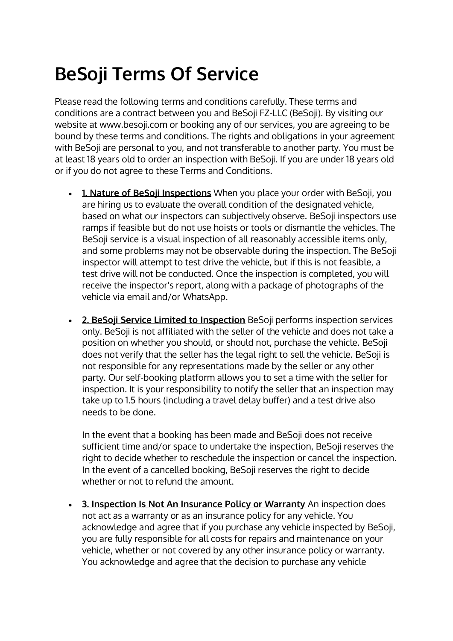## **BeSoji Terms Of Service**

Please read the following terms and conditions carefully. These terms and conditions are a contract between you and BeSoji FZ-LLC (BeSoji). By visiting our website at www.besoji.com or booking any of our services, you are agreeing to be bound by these terms and conditions. The rights and obligations in your agreement with BeSoji are personal to you, and not transferable to another party. You must be at least 18 years old to order an inspection with BeSoji. If you are under 18 years old or if you do not agree to these Terms and Conditions.

- **1. Nature of BeSoji Inspections** When you place your order with BeSoji, you are hiring us to evaluate the overall condition of the designated vehicle, based on what our inspectors can subjectively observe. BeSoji inspectors use ramps if feasible but do not use hoists or tools or dismantle the vehicles. The BeSoji service is a visual inspection of all reasonably accessible items only, and some problems may not be observable during the inspection. The BeSoji inspector will attempt to test drive the vehicle, but if this is not feasible, a test drive will not be conducted. Once the inspection is completed, you will receive the inspector's report, along with a package of photographs of the vehicle via email and/or WhatsApp.
- **2. BeSoji Service Limited to Inspection** BeSoji performs inspection services only. BeSoji is not affiliated with the seller of the vehicle and does not take a position on whether you should, or should not, purchase the vehicle. BeSoji does not verify that the seller has the legal right to sell the vehicle. BeSoji is not responsible for any representations made by the seller or any other party. Our self-booking platform allows you to set a time with the seller for inspection. It is your responsibility to notify the seller that an inspection may take up to 1.5 hours (including a travel delay buffer) and a test drive also needs to be done.

In the event that a booking has been made and BeSoji does not receive sufficient time and/or space to undertake the inspection, BeSoji reserves the right to decide whether to reschedule the inspection or cancel the inspection. In the event of a cancelled booking, BeSoji reserves the right to decide whether or not to refund the amount.

• **3. Inspection Is Not An Insurance Policy or Warranty** An inspection does not act as a warranty or as an insurance policy for any vehicle. You acknowledge and agree that if you purchase any vehicle inspected by BeSoji, you are fully responsible for all costs for repairs and maintenance on your vehicle, whether or not covered by any other insurance policy or warranty. You acknowledge and agree that the decision to purchase any vehicle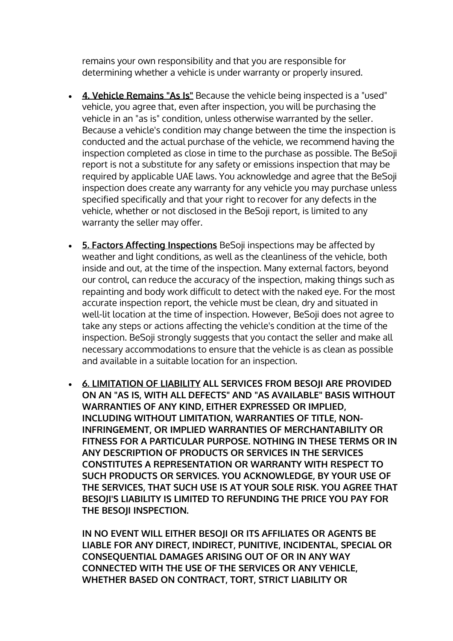remains your own responsibility and that you are responsible for determining whether a vehicle is under warranty or properly insured.

- **4. Vehicle Remains "As Is"** Because the vehicle being inspected is a "used" vehicle, you agree that, even after inspection, you will be purchasing the vehicle in an "as is" condition, unless otherwise warranted by the seller. Because a vehicle's condition may change between the time the inspection is conducted and the actual purchase of the vehicle, we recommend having the inspection completed as close in time to the purchase as possible. The BeSoji report is not a substitute for any safety or emissions inspection that may be required by applicable UAE laws. You acknowledge and agree that the BeSoji inspection does create any warranty for any vehicle you may purchase unless specified specifically and that your right to recover for any defects in the vehicle, whether or not disclosed in the BeSoji report, is limited to any warranty the seller may offer.
- **5. Factors Affecting Inspections** BeSoji inspections may be affected by weather and light conditions, as well as the cleanliness of the vehicle, both inside and out, at the time of the inspection. Many external factors, beyond our control, can reduce the accuracy of the inspection, making things such as repainting and body work difficult to detect with the naked eye. For the most accurate inspection report, the vehicle must be clean, dry and situated in well-lit location at the time of inspection. However, BeSoji does not agree to take any steps or actions affecting the vehicle's condition at the time of the inspection. BeSoji strongly suggests that you contact the seller and make all necessary accommodations to ensure that the vehicle is as clean as possible and available in a suitable location for an inspection.
- **6. LIMITATION OF LIABILITY ALL SERVICES FROM BESOJI ARE PROVIDED ON AN "AS IS, WITH ALL DEFECTS" AND "AS AVAILABLE" BASIS WITHOUT WARRANTIES OF ANY KIND, EITHER EXPRESSED OR IMPLIED, INCLUDING WITHOUT LIMITATION, WARRANTIES OF TITLE, NON-INFRINGEMENT, OR IMPLIED WARRANTIES OF MERCHANTABILITY OR FITNESS FOR A PARTICULAR PURPOSE. NOTHING IN THESE TERMS OR IN ANY DESCRIPTION OF PRODUCTS OR SERVICES IN THE SERVICES CONSTITUTES A REPRESENTATION OR WARRANTY WITH RESPECT TO SUCH PRODUCTS OR SERVICES. YOU ACKNOWLEDGE, BY YOUR USE OF THE SERVICES, THAT SUCH USE IS AT YOUR SOLE RISK. YOU AGREE THAT BESOJI'S LIABILITY IS LIMITED TO REFUNDING THE PRICE YOU PAY FOR THE BESOJI INSPECTION.**

**IN NO EVENT WILL EITHER BESOJI OR ITS AFFILIATES OR AGENTS BE LIABLE FOR ANY DIRECT, INDIRECT, PUNITIVE, INCIDENTAL, SPECIAL OR CONSEQUENTIAL DAMAGES ARISING OUT OF OR IN ANY WAY CONNECTED WITH THE USE OF THE SERVICES OR ANY VEHICLE, WHETHER BASED ON CONTRACT, TORT, STRICT LIABILITY OR**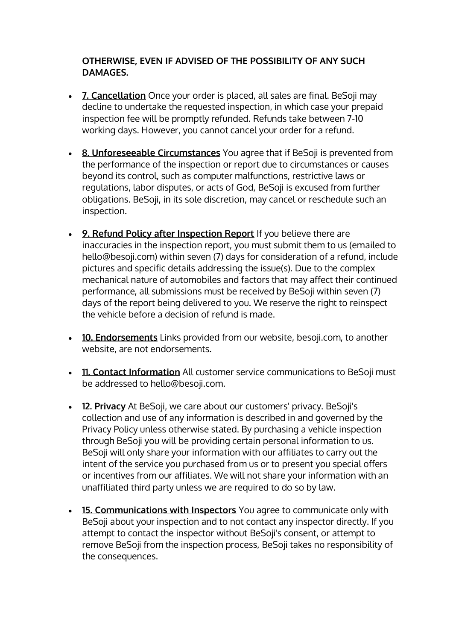## **OTHERWISE, EVEN IF ADVISED OF THE POSSIBILITY OF ANY SUCH DAMAGES.**

- **7. Cancellation** Once your order is placed, all sales are final. BeSoji may decline to undertake the requested inspection, in which case your prepaid inspection fee will be promptly refunded. Refunds take between 7-10 working days. However, you cannot cancel your order for a refund.
- **8. Unforeseeable Circumstances** You agree that if BeSoji is prevented from the performance of the inspection or report due to circumstances or causes beyond its control, such as computer malfunctions, restrictive laws or regulations, labor disputes, or acts of God, BeSoji is excused from further obligations. BeSoji, in its sole discretion, may cancel or reschedule such an inspection.
- **9. Refund Policy after Inspection Report** If you believe there are inaccuracies in the inspection report, you must submit them to us (emailed to hello@besoji.com) within seven (7) days for consideration of a refund, include pictures and specific details addressing the issue(s). Due to the complex mechanical nature of automobiles and factors that may affect their continued performance, all submissions must be received by BeSoji within seven (7) days of the report being delivered to you. We reserve the right to reinspect the vehicle before a decision of refund is made.
- **10. Endorsements** Links provided from our website, besoji.com, to another website, are not endorsements.
- **11. Contact Information** All customer service communications to BeSoji must be addressed to hello@besoji.com.
- **12. Privacy** At BeSoji, we care about our customers' privacy. BeSoji's collection and use of any information is described in and governed by the Privacy Policy unless otherwise stated. By purchasing a vehicle inspection through BeSoji you will be providing certain personal information to us. BeSoji will only share your information with our affiliates to carry out the intent of the service you purchased from us or to present you special offers or incentives from our affiliates. We will not share your information with an unaffiliated third party unless we are required to do so by law.
- **15. Communications with Inspectors** You agree to communicate only with BeSoji about your inspection and to not contact any inspector directly. If you attempt to contact the inspector without BeSoji's consent, or attempt to remove BeSoji from the inspection process, BeSoji takes no responsibility of the consequences.